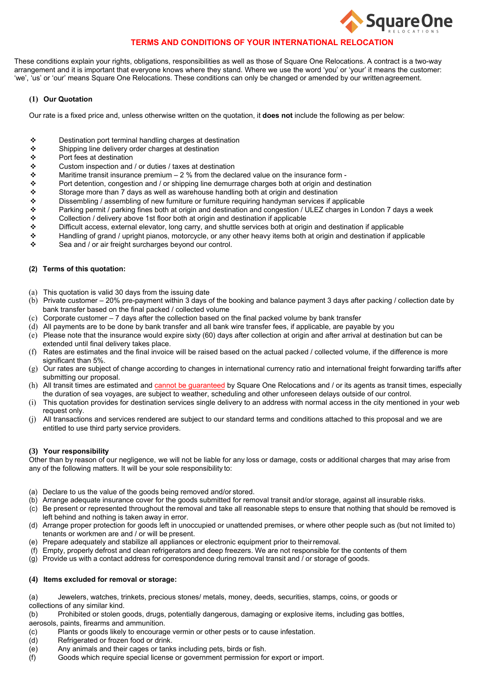

# **TERMS AND CONDITIONS OF YOUR INTERNATIONAL RELOCATION**

These conditions explain your rights, obligations, responsibilities as well as those of Square One Relocations. A contract is a two-way arrangement and it is important that everyone knows where they stand. Where we use the word 'you' or 'your' it means the customer: 'we', 'us' or 'our' means Square One Relocations. These conditions can only be changed or amended by our written agreement.

### (1) Our Quote

Unless otherwise clearly written on the quotation, our quote does not include the following as per below:

Destination port terminal handling charges at destination

Shipping line delivery order charges at destination

Commercial building insurance bond both at origin at destination

Custom inspection, duties, VAT or any other government taxes both at origin and destination

Maritime transit insurance premium  $-2$  % from the declared value on the insurance form -

Port detention, congestion and / or shipping line demurrage charges both at origin and destination

Storage more than 7 days as well as warehouse handling both at origin and destination

Dissembling / assembling of new furniture or furniture requiring handyman services if applicable

Parking permit / parking fines both at origin and destination and Congestion / ULEZ charges in London 7 days week Collection and delivery services above 1st floor both at origin and destination if applicable

Difficult access, external elevator, long carry, and shuttle services both at origin and destination if applicable Handling of grand / upright pianos, motorcycle or any other heavy items both at origin and destination if applicable Increase in rates or surcharges beyond our control of road, sea and / or air freight after collection / packing date

### **(2) Terms of this quotation:**

- (a) This quotation is valid 45 days from the issuing date
- (b) Private customer 20% pre-payment within 3 days of the booking and balance payment 3 days after packing / collection date by bank transfer based on the final packed / collected volume
- $(c)$  Corporate customer  $-7$  days after the collection based on the final packed volume by bank transfer
- (d) All payments are to be done by bank transfer and all bank wire transfer fees, if applicable, are payable by you
- (e) Please note that the insurance would expire sixty (60) days after collection at origin and after arrival at destination but can be extended until final delivery takes place.
- (f) Rates are estimates and the final invoice will be raised based on the actual packed / collected volume, if the difference is more significant than 5%.
- (g) Our rates are subject of change according to changes in international currency ratio and international freight forwarding tariffs after submitting our proposal.
- (h) All transit times are estimated and cannot be guaranteed by Square One Relocations and / or its agents as transit times, especially the duration of sea voyages, are subject to weather, scheduling and other unforeseen delays outside of our control.
- This quotation provides for destination services single delivery to an address with normal access in the city mentioned in your web request only.
- (j) All transactions and services rendered are subject to our standard terms and conditions attached to this proposal and we are entitled to use third party service providers.

# **(3) Your responsibility**

Other than by reason of our negligence, we will not be liable for any loss or damage, costs or additional charges that may arise from any of the following matters. It will be your sole responsibility to:

- (a) Declare to us the value of the goods being removed and/or stored.
- (b) Arrange adequate insurance cover for the goods submitted for removal transit and/or storage, against all insurable risks.
- (c) Be present or represented throughout the removal and take all reasonable steps to ensure that nothing that should be removed is left behind and nothing is taken away in error.
- (d) Arrange proper protection for goods left in unoccupied or unattended premises, or where other people such as (but not limited to) tenants or workmen are and / or will be present.
- (e) Prepare adequately and stabilize all appliances or electronic equipment prior to their removal.
- (f) Empty, properly defrost and clean refrigerators and deep freezers. We are not responsible for the contents of them
- (g) Provide us with a contact address for correspondence during removal transit and / or storage of goods.

# **(4) Items excluded for removal or storage:**

(a) Jewelers, watches, trinkets, precious stones/ metals, money, deeds, securities, stamps, coins, or goods or collections of any similar kind.

- (b) Prohibited or stolen goods, drugs, potentially dangerous, damaging or explosive items, including gas bottles, aerosols, paints, firearms and ammunition.
- (c) Plants or goods likely to encourage vermin or other pests or to cause infestation.
- (d) Refrigerated or frozen food or drink.
- (e) Any animals and their cages or tanks including pets, birds or fish.
- (f) Goods which require special license or government permission for export or import.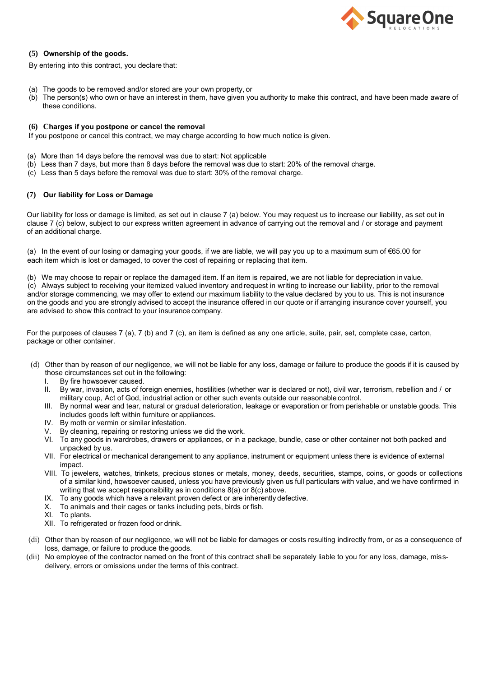

# **(5) Ownership of the goods.**

By entering into this contract, you declare that:

- (a) The goods to be removed and/or stored are your own property, or
- (b) The person(s) who own or have an interest in them, have given you authority to make this contract, and have been made aware of these conditions.

### **(6) Charges if you postpone or cancel the removal**

If you postpone or cancel this contract, we may charge according to how much notice is given.

- (a) More than 14 days before the removal was due to start: Not applicable
- (b) Less than 7 days, but more than 8 days before the removal was due to start: 20% of the removal charge.
- (c) Less than 5 days before the removal was due to start: 30% of the removal charge.

### **(7) Our liability for Loss or Damage**

Our liability for loss or damage is limited, as set out in clause 7 (a) below. You may request us to increase our liability, as set out in clause 7 (c) below, subject to our express written agreement in advance of carrying out the removal and / or storage and payment of an additional charge.

(a) In the event of our losing or damaging your goods, if we are liable, we will pay you up to a maximum sum of €65.00 for each item which is lost or damaged, to cover the cost of repairing or replacing that item.

(b) We may choose to repair or replace the damaged item. If an item is repaired, we are not liable for depreciation in value. (c) Always subject to receiving your itemized valued inventory and request in writing to increase our liability, prior to the removal and/or storage commencing, we may offer to extend our maximum liability to the value declared by you to us. This is not insurance on the goods and you are strongly advised to accept the insurance offered in our quote or if arranging insurance cover yourself, you are advised to show this contract to your insurance company.

For the purposes of clauses 7 (a), 7 (b) and 7 (c), an item is defined as any one article, suite, pair, set, complete case, carton, package or other container.

- (d) Other than by reason of our negligence, we will not be liable for any loss, damage or failure to produce the goods if it is caused by those circumstances set out in the following:
	- By fire howsoever caused.
	- II. By war, invasion, acts of foreign enemies, hostilities (whether war is declared or not), civil war, terrorism, rebellion and / or military coup, Act of God, industrial action or other such events outside our reasonable control.
	- III. By normal wear and tear, natural or gradual deterioration, leakage or evaporation or from perishable or unstable goods. This includes goods left within furniture or appliances.
	- IV. By moth or vermin or similar infestation.
	- V. By cleaning, repairing or restoring unless we did the work.
	- VI. To any goods in wardrobes, drawers or appliances, or in a package, bundle, case or other container not both packed and unpacked by us.
	- VII. For electrical or mechanical derangement to any appliance, instrument or equipment unless there is evidence of external impact.
	- VIII. To jewelers, watches, trinkets, precious stones or metals, money, deeds, securities, stamps, coins, or goods or collections of a similar kind, howsoever caused, unless you have previously given us full particulars with value, and we have confirmed in writing that we accept responsibility as in conditions 8(a) or 8(c) above.
	- IX. To any goods which have a relevant proven defect or are inherently defective.
	- X. To animals and their cages or tanks including pets, birds or fish.
	- XI. To plants.
	- XII. To refrigerated or frozen food or drink.
- (di) Other than by reason of our negligence, we will not be liable for damages or costs resulting indirectly from, or as a consequence of loss, damage, or failure to produce the goods.
- (dii) No employee of the contractor named on the front of this contract shall be separately liable to you for any loss, damage, missdelivery, errors or omissions under the terms of this contract.